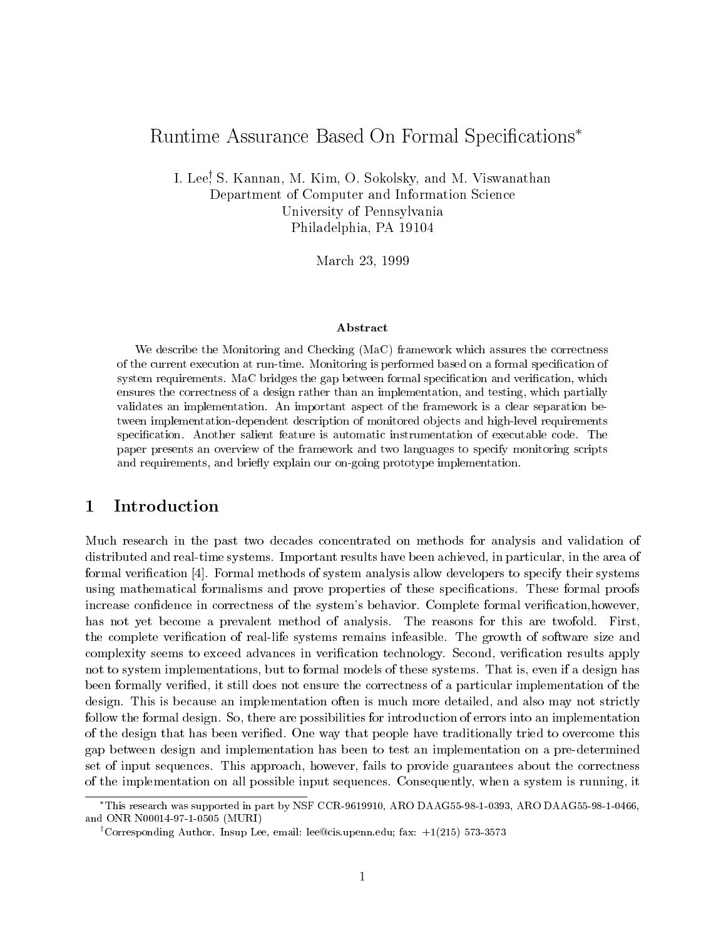# Runtime Assurance Based On Formal Specifications<sup>\*</sup>

I. Leey , S. Kannan, M. Kim, O. Sokolsky, and M. Viswanathan Department of Computer and Information Science University of Pennsylvania Philadelphia, PA 19104

March 23, 1999

### Abstract

We describe the Monitoring and Checking (MaC) framework which assures the correctness of the current execution at run-time. Monitoring is performed based on a formal specification of system requirements. MaC bridges the gap between formal specification and verification, which ensures the correctness of a design rather than an implementation, and testing, which partially validates an implementation. An important aspect of the framework is a clear separation between implementation-dependent description of monitored objects and high-level requirements specification. Another salient feature is automatic instrumentation of executable code. The paper presents an overview of the framework and two languages to specify monitoring scripts and requirements, and briefly explain our on-going prototype implementation.

#### 1Introduction

Much research in the past two decades concentrated on methods for analysis and validation of distributed and real-time systems. Important results have been achieved, in particular, in the area of formal verication [4]. Formal methods of system analysis allow developers to specify their systems using mathematical formalisms and prove properties of these specications. These formal proofs increase confidence in correctness of the system's behavior. Complete formal verification, however, has not yet become a prevalent method of analysis. The reasons for this are twofold. First, the complete verication of real-life systems remains infeasible. The growth of software size and complexity seems to exceed advances in verification technology. Second, verification results apply not to system implementations, but to formal models of these systems. That is, even if a design has been formally veried, it still does not ensure the correctness of a particular implementation of the design. This is because an implementation often is much more detailed, and also may not strictly follow the formal design. So, there are possibilities for introduction of errors into an implementation of the design that has been veried. One way that people have traditionally tried to overcome this gap between design and implementation has been to test an implementation on a pre-determined set of input sequences. This approach, however, fails to provide guarantees about the correctness of the implementation on all possible input sequences. Consequently, when a system is running, it

This research was supported in part by NSF CCR-9619910, ARO DAAG55-98-1-0393, ARO DAAG55-98-1-0466, and ONR N00014-97-1-0505 (MURI)

<sup>&</sup>lt;sup>†</sup>Corresponding Author. Insup Lee, email: lee@cis.upenn.edu; fax: +1(215) 573-3573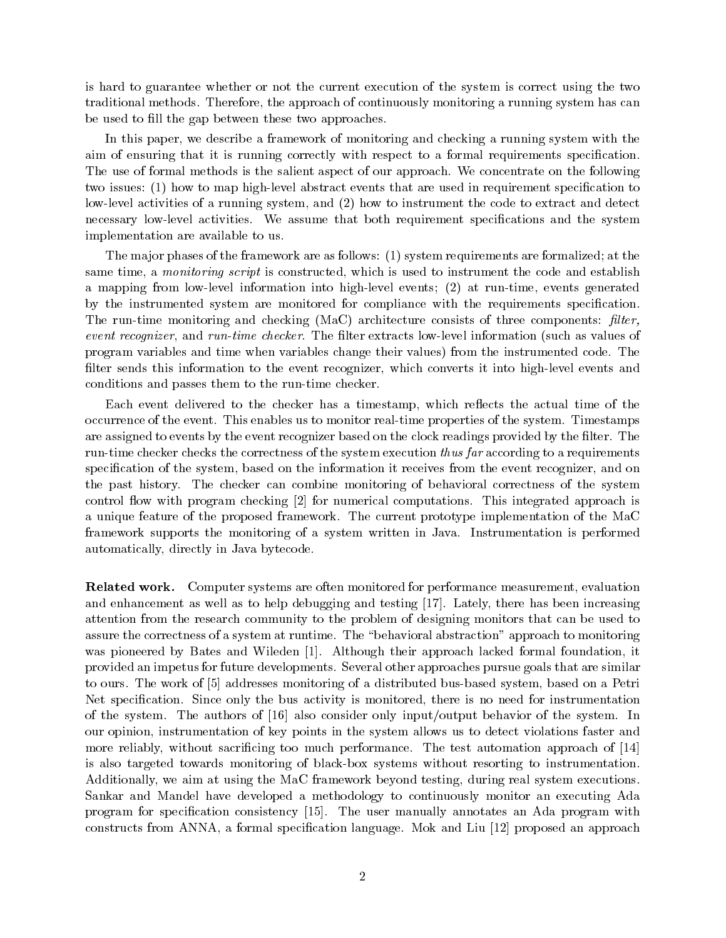is hard to guarantee whether or not the current execution of the system is correct using the two traditional methods. Therefore, the approach of continuously monitoring a running system has can be used to fill the gap between these two approaches.

In this paper, we describe a framework of monitoring and checking a running system with the aim of ensuring that it is running correctly with respect to a formal requirements specication. The use of formal methods is the salient aspect of our approach. We concentrate on the following two issues: (1) how to map high-level abstract events that are used in requirement specication to low-level activities of a running system, and (2) how to instrument the code to extract and detect necessary low-level activities. We assume that both requirement specifications and the system implementation are available to us.

The major phases of the framework are as follows: (1) system requirements are formalized; at the same time, a *monitoring script* is constructed, which is used to instrument the code and establish a mapping from low-level information into high-level events; (2) at run-time, events generated by the instrumented system are monitored for compliance with the requirements specication. The run-time monitoring and checking  $(MaC)$  architecture consists of three components: *filter*, event recognizer, and run-time checker. The filter extracts low-level information (such as values of program variables and time when variables change their values) from the instrumented code. The filter sends this information to the event recognizer, which converts it into high-level events and conditions and passes them to the run-time checker.

Each event delivered to the checker has a timestamp, which reflects the actual time of the occurrence of the event. This enables us to monitor real-time properties of the system. Timestamps are assigned to events by the event recognizer based on the clock readings provided by the filter. The run-time checker checks the correctness of the system execution thus far according to a requirements specification of the system, based on the information it receives from the event recognizer, and on the past history. The checker can combine monitoring of behavioral correctness of the system control flow with program checking [2] for numerical computations. This integrated approach is a unique feature of the proposed framework. The current prototype implementation of the MaC framework supports the monitoring of a system written in Java. Instrumentation is performed automatically, directly in Java bytecode.

Related work. Computer systems are often monitored for performance measurement, evaluation and enhancement as well as to help debugging and testing [17]. Lately, there has been increasing attention from the research community to the problem of designing monitors that can be used to assure the correctness of a system at runtime. The \behavioral abstraction" approach to monitoring was pioneered by Bates and Wileden [1]. Although their approach lacked formal foundation, it provided an impetus for future developments. Several other approaches pursue goals that are similar to ours. The work of [5] addresses monitoring of a distributed bus-based system, based on a Petri Net specification. Since only the bus activity is monitored, there is no need for instrumentation of the system. The authors of [16] also consider only input/output behavior of the system. In our opinion, instrumentation of key points in the system allows us to detect violations faster and more reliably, without sacrificing too much performance. The test automation approach of [14] is also targeted towards monitoring of black-box systems without resorting to instrumentation. Additionally, we aim at using the MaC framework beyond testing, during real system executions. Sankar and Mandel have developed a methodology to continuously monitor an executing Ada program for specication consistency [15]. The user manually annotates an Ada program with constructs from ANNA, a formal specication language. Mok and Liu [12] proposed an approach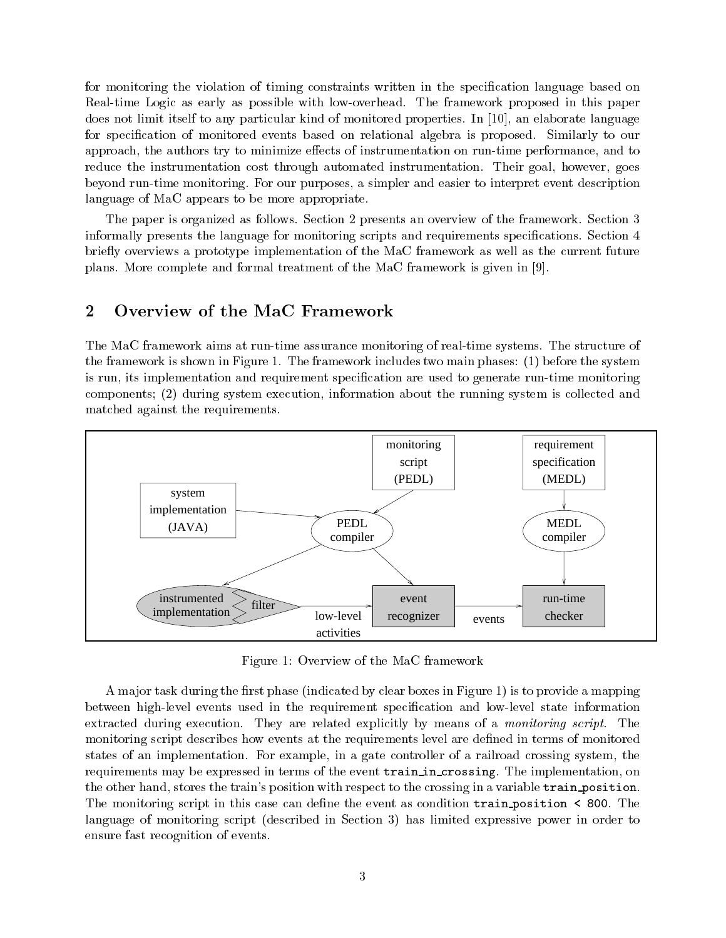for monitoring the violation of timing constraints written in the specification language based on Real-time Logic as early as possible with low-overhead. The framework proposed in this paper does not limit itself to any particular kind of monitored properties. In [10], an elaborate language for specication of monitored events based on relational algebra is proposed. Similarly to our approach, the authors try to minimize effects of instrumentation on run-time performance, and to reduce the instrumentation cost through automated instrumentation. Their goal, however, goes beyond run-time monitoring. For our purposes, a simpler and easier to interpret event description language of MaC appears to be more appropriate.

The paper is organized as follows. Section 2 presents an overview of the framework. Section 3 informally presents the language for monitoring scripts and requirements specications. Section 4 briefly overviews a prototype implementation of the MaC framework as well as the current future plans. More complete and formal treatment of the MaC framework is given in [9].

The MaC framework aims at run-time assurance monitoring of real-time systems. The structure of the framework is shown in Figure 1. The framework includes two main phases: (1) before the system is run, its implementation and requirement specication are used to generate run-time monitoring components; (2) during system execution, information about the running system is collected and matched against the requirements.



Figure 1: Overview of the MaC framework

A major task during the first phase (indicated by clear boxes in Figure 1) is to provide a mapping between high-level events used in the requirement specication and low-level state information extracted during execution. They are related explicitly by means of a monitoring script. The monitoring script describes how events at the requirements level are defined in terms of monitored states of an implementation. For example, in a gate controller of a railroad crossing system, the requirements may be expressed in terms of the event **train\_in\_crossing**. The implementation, on the other hand, stores the train's position with respect to the crossing in a variable train position. The monitoring script in this case can define the event as condition  $train\_position$  < 800. The language of monitoring script (described in Section 3) has limited expressive power in order to ensure fast recognition of events.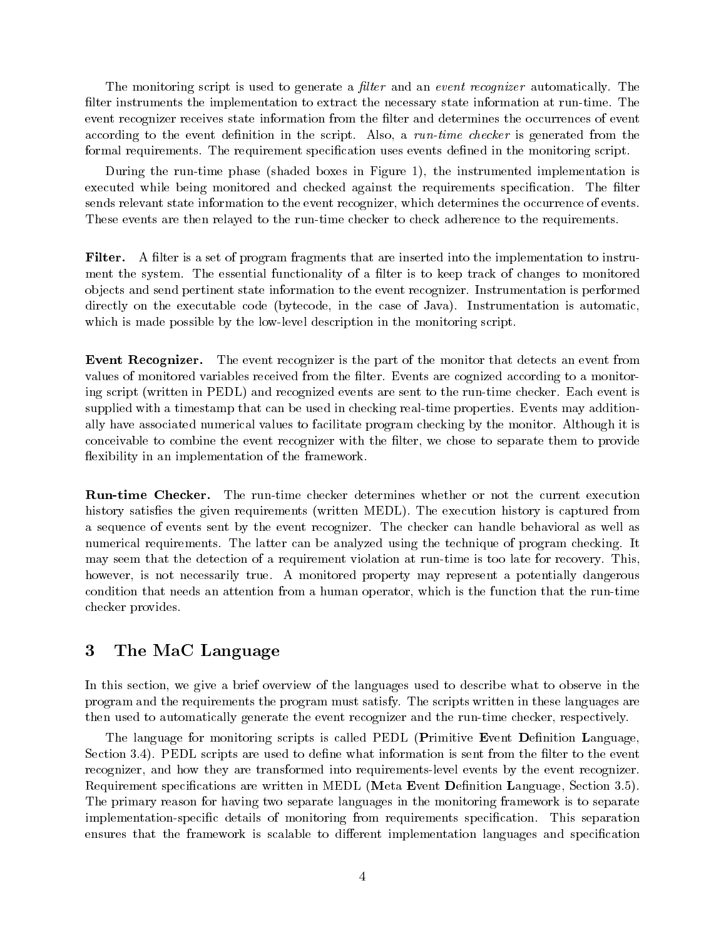The monitoring script is used to generate a *filter* and an *event recognizer* automatically. The filter instruments the implementation to extract the necessary state information at run-time. The event recognizer receives state information from the filter and determines the occurrences of event according to the event definition in the script. Also, a run-time checker is generated from the formal requirements. The requirement specification uses events defined in the monitoring script.

During the run-time phase (shaded boxes in Figure 1), the instrumented implementation is executed while being monitored and checked against the requirements specification. The filter sends relevant state information to the event recognizer, which determines the occurrence of events. These events are then relayed to the run-time checker to check adherence to the requirements.

Filter. A filter is a set of program fragments that are inserted into the implementation to instrument the system. The essential functionality of a filter is to keep track of changes to monitored ob jects and send pertinent state information to the event recognizer. Instrumentation is performed directly on the executable code (bytecode, in the case of Java). Instrumentation is automatic, which is made possible by the low-level description in the monitoring script.

Event Recognizer. The event recognizer is the part of the monitor that detects an event from values of monitored variables received from the filter. Events are cognized according to a monitoring script (written in PEDL) and recognized events are sent to the run-time checker. Each event is supplied with a timestamp that can be used in checking real-time properties. Events may additionally have associated numerical values to facilitate program checking by the monitor. Although it is conceivable to combine the event recognizer with the filter, we chose to separate them to provide flexibility in an implementation of the framework.

Run-time Checker. The run-time checker determines whether or not the current execution history satisfies the given requirements (written MEDL). The execution history is captured from a sequence of events sent by the event recognizer. The checker can handle behavioral as well as numerical requirements. The latter can be analyzed using the technique of program checking. It may seem that the detection of a requirement violation at run-time is too late for recovery. This, however, is not necessarily true. A monitored property may represent a potentially dangerous condition that needs an attention from a human operator, which is the function that the run-time checker provides.

### 3The MaC Language

In this section, we give a brief overview of the languages used to describe what to observe in the program and the requirements the program must satisfy. The scripts written in these languages are then used to automatically generate the event recognizer and the run-time checker, respectively.

The language for monitoring scripts is called PEDL (Primitive Event Definition Language, Section 3.4). PEDL scripts are used to define what information is sent from the filter to the event recognizer, and how they are transformed into requirements-level events by the event recognizer. Requirement specifications are written in MEDL (Meta Event Definition Language, Section 3.5). The primary reason for having two separate languages in the monitoring framework is to separate implementation-specific details of monitoring from requirements specification. This separation ensures that the framework is scalable to different implementation languages and specification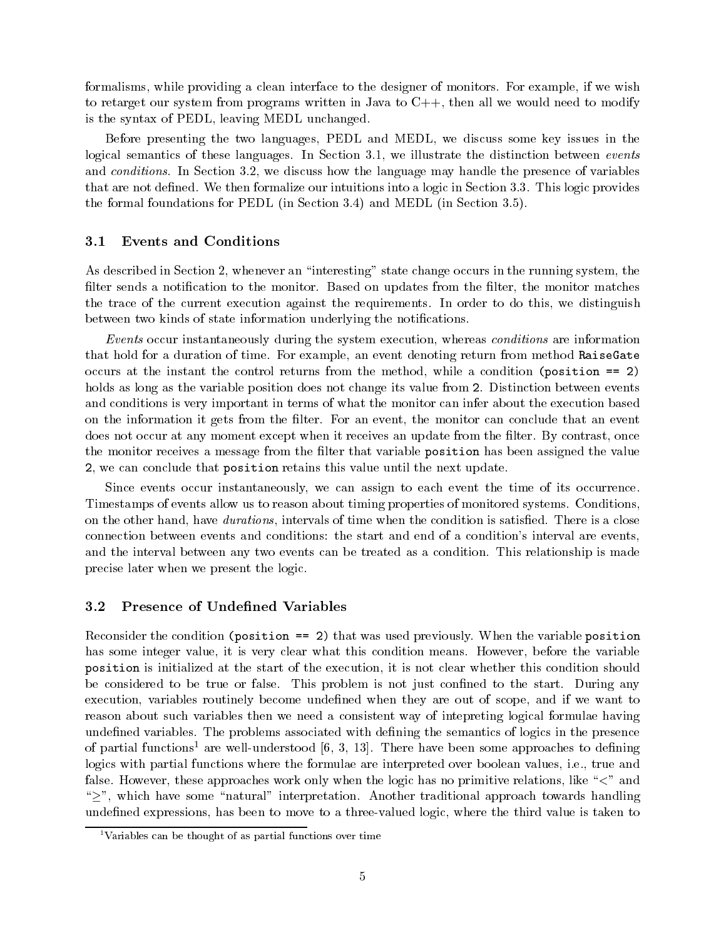formalisms, while providing a clean interface to the designer of monitors. For example, if we wish to retarget our system from programs written in Java to  $C_{++}$ , then all we would need to modify is the syntax of PEDL, leaving MEDL unchanged.

Before presenting the two languages, PEDL and MEDL, we discuss some key issues in the logical semantics of these languages. In Section 3.1, we illustrate the distinction between *events* and conditions. In Section 3.2, we discuss how the language may handle the presence of variables that are not defined. We then formalize our intuitions into a logic in Section 3.3. This logic provides the formal foundations for PEDL (in Section 3.4) and MEDL (in Section 3.5).

#### 3.1Events and Conditions

As described in Section 2, whenever an "interesting" state change occurs in the running system, the filter sends a notification to the monitor. Based on updates from the filter, the monitor matches the trace of the current execution against the requirements. In order to do this, we distinguish between two kinds of state information underlying the notifications.

Events occur instantaneously during the system execution, whereas conditions are information that hold for a duration of time. For example, an event denoting return from method RaiseGate occurs at the instant the control returns from the method, while a condition (position == 2) holds as long as the variable position does not change its value from 2. Distinction between events and conditions is very important in terms of what the monitor can infer about the execution based on the information it gets from the filter. For an event, the monitor can conclude that an event does not occur at any moment except when it receives an update from the filter. By contrast, once the monitor receives a message from the filter that variable **position** has been assigned the value 2, we can conclude that position retains this value until the next update.

Since events occur instantaneously, we can assign to each event the time of its occurrence. Timestamps of events allow us to reason about timing properties of monitored systems. Conditions, on the other hand, have *durations*, intervals of time when the condition is satisfied. There is a close connection between events and conditions: the start and end of a condition's interval are events, and the interval between any two events can be treated as a condition. This relationship is made precise later when we present the logic.

#### 3.2Presence of Undefined Variables

Reconsider the condition (position  $== 2)$  that was used previously. When the variable position has some integer value, it is very clear what this condition means. However, before the variable position is initialized at the start of the execution, it is not clear whether this condition should be considered to be true or false. This problem is not just confined to the start. During any execution, variables routinely become undefined when they are out of scope, and if we want to reason about such variables then we need a consistent way of intepreting logical formulae having undefined variables. The problems associated with defining the semantics of logics in the presence of partial functions<sup>1</sup> are well-understood [6, 3, 13]. There have been some approaches to defining logics with partial functions where the formulae are interpreted over boolean values, i.e., true and false. However, these approaches work only when the logic has no primitive relations, like " $\lt$ " and  $\gamma$ , which have some "natural" interpretation. Another traditional approach towards handling undefined expressions, has been to move to a three-valued logic, where the third value is taken to

<sup>&</sup>lt;sup>1</sup>Variables can be thought of as partial functions over time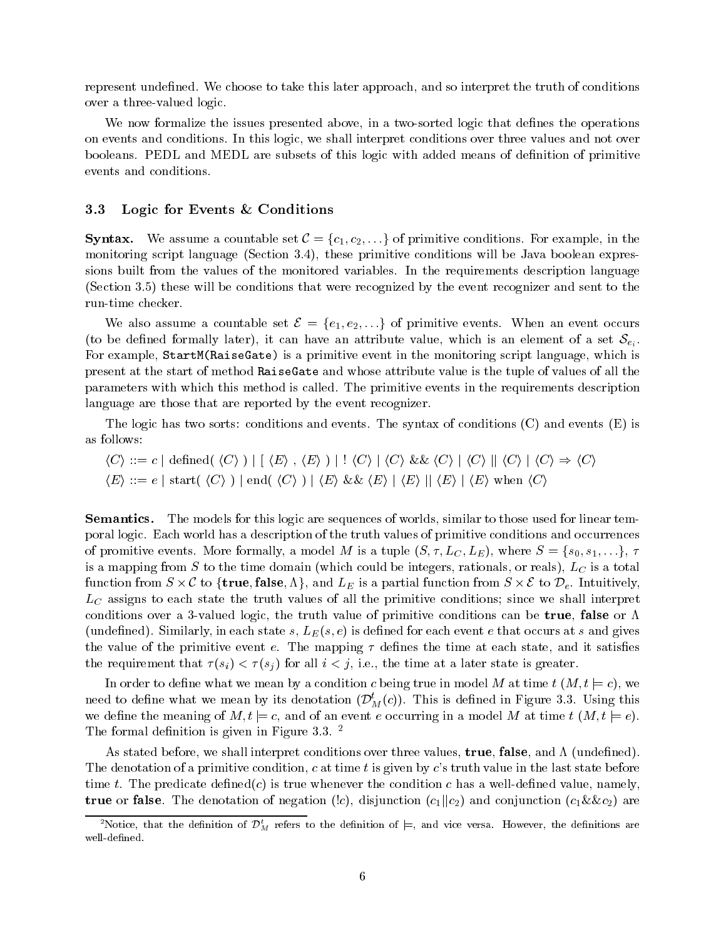represent undefined. We choose to take this later approach, and so interpret the truth of conditions over a three-valued logic.

We now formalize the issues presented above, in a two-sorted logic that defines the operations on events and conditions. In this logic, we shall interpret conditions over three values and not over booleans. PEDL and MEDL are subsets of this logic with added means of definition of primitive events and conditions.

#### 3.3Logic for Events & Conditions

**Syntax.** We assume a countable set  $\mathcal{C} = \{c_1, c_2, \dots\}$  of primitive conditions. For example, in the monitoring script language (Section 3.4), these primitive conditions will be Java boolean expressions built from the values of the monitored variables. In the requirements description language (Section 3.5) these will be conditions that were recognized by the event recognizer and sent to the run-time checker.

We also assume a countable set  $\mathcal{E} = \{e_1, e_2, \ldots\}$  of primitive events. When an event occurs (to be defined formally later), it can have an attribute value, which is an element of a set  $\mathcal{S}_{\epsilon_i}$ . For example, StartM(RaiseGate) is a primitive event in the monitoring script language, which is present at the start of method RaiseGate and whose attribute value is the tuple of values of all the parameters with which this method is called. The primitive events in the requirements description language are those that are reported by the event recognizer.

The logic has two sorts: conditions and events. The syntax of conditions (C) and events (E) is as follows:

 $\langle C \rangle ::= c \mid \text{defined}(\langle C \rangle) \mid [\langle E \rangle, \langle E \rangle] \mid ! \langle C \rangle \mid \langle C \rangle \&\&\langle C \rangle \mid \langle C \rangle \mid \langle C \rangle \mid \langle C \rangle \Rightarrow \langle C \rangle$  $\langle E \rangle ::= e | \text{ start}(\langle C \rangle) | \text{end}(\langle C \rangle) | \langle E \rangle \&\& \langle E \rangle | \langle E \rangle | \langle E \rangle | \langle E \rangle$  when  $\langle C \rangle$ 

Semantics. The models for this logic are sequences of worlds, similar to those used for linear temporal logic. Each world has a description of the truth values of primitive conditions and occurrences of promitive events. More formally, a model M is a tuple  $(S, \tau, L_C, L_E)$ , where  $S = \{s_0, s_1, \ldots\}$ ,  $\tau$ is a mapping from S to the time domain (which could be integers, rationals, or reals),  $L<sub>C</sub>$  is a total function from  $S\times\mathcal C$  to  $\{\mathbf{true},\mathbf{false},\Lambda\},$  and  $L_E$  is a partial function from  $S\times\mathcal E$  to  $\mathcal D_e.$  Intuitively,  $L<sub>C</sub>$  assigns to each state the truth values of all the primitive conditions; since we shall interpret conditions over a 3-valued logic, the truth value of primitive conditions can be **true**, false or  $\Lambda$ (undefined). Similarly, in each state s,  $L_E(s, e)$  is defined for each event e that occurs at s and gives the value of the primitive event e. The mapping  $\tau$  defines the time at each state, and it satisfies the requirement that  $\tau(s_i) < \tau(s_j)$  for all  $i < j$ , i.e., the time at a later state is greater.

In order to define what we mean by a condition c being true in model M at time  $t$   $(M, t \models c)$ , we need to define what we mean by its denotation  $(\mathcal{D}_M^t(c))$ . This is defined in Figure 3.3. Using this we define the meaning of  $M, t \models c$ , and of an event e occurring in a model M at time  $t (M, t \models e)$ . The formal definition is given in Figure 3.3.  $^2$ 

As stated before, we shall interpret conditions over three values, **true, false**, and  $\Lambda$  (undefined). The denotation of a primitive condition, c at time t is given by c's truth value in the last state before time t. The predicate defined(c) is true whenever the condition c has a well-defined value, namely, true or false. The denotation of negation (*lc*), disjunction  $(c_1 || c_2)$  and conjunction  $(c_1 \& c_2)$  are

 $^2$ Notice, that the definition of  $\mathcal{D}_M^t$  refers to the definition of  $\models$ , and vice versa. However, the definitions are well-defined.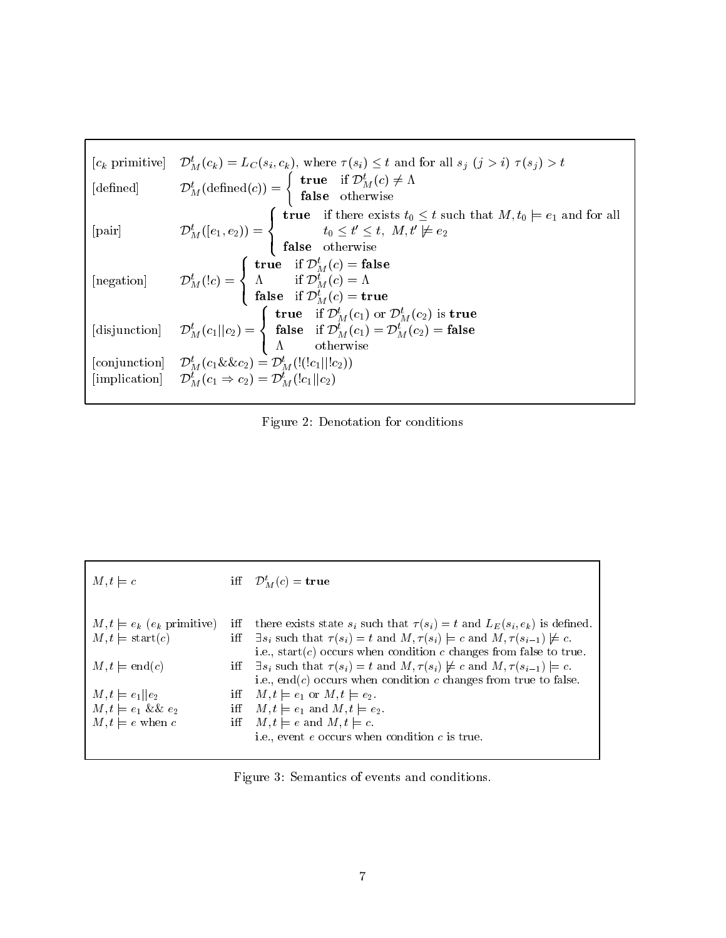| defined       | $[c_k \text{ primitive}]$ $\mathcal{D}_M^t(c_k) = L_C(s_i, c_k)$ , where $\tau(s_i) \leq t$ and for all $s_j$ $(j > i)$ $\tau(s_j) > t$<br>$\mathcal{D}_M^t(\text{defined}(c)) = \begin{cases} \textbf{true} & \text{if } \mathcal{D}_M^t(c) \neq \Lambda \\ \textbf{false} & \text{otherwise} \end{cases}$ |
|---------------|-------------------------------------------------------------------------------------------------------------------------------------------------------------------------------------------------------------------------------------------------------------------------------------------------------------|
| [pair]        | $\mathcal{D}_M^t([e_1, e_2)) = \begin{cases} \textbf{true} & \text{if there exists } t_0 \leq t \text{ such that } M, t_0 \models e_1 \text{ and for all } t_0 \leq t' \leq t, M, t' \not\models e_2 \\ \textbf{false} & \text{otherwise} \end{cases}$                                                      |
| negation      | $\mathcal{D}_M^t({!}c) = \left\{ \begin{array}{ll} \textbf{true} & \text{if } \mathcal{D}_M^t(c) = \textbf{false} \ \Lambda & \text{if } \mathcal{D}_M^t(c) = \Lambda \ \textbf{false} & \text{if } \mathcal{D}_M^t(c) = \textbf{true} \end{array} \right.$                                                 |
| disjunction   | $\mathcal{D}_M^t(c_1  c_2) = \begin{cases} \textbf{true} & \text{if } \mathcal{D}_M^t(c_1) \text{ or } \mathcal{D}_M^t(c_2) \text{ is true} \\ \textbf{false} & \text{if } \mathcal{D}_M^t(c_1) = \mathcal{D}_M^t(c_2) = \textbf{false} \\ \Lambda & \text{otherwise} \end{cases}$                          |
| [conjunction] | $\mathcal{D}_M^t(c_1 \&\& c_2) = \mathcal{D}_M^t(\{( c_1  !c_2)\})$<br>[implication] $\mathcal{D}_{\mathcal{M}}^{t}(c_1 \Rightarrow c_2) = \mathcal{D}_{\mathcal{M}}^{t}(c_1  c_2)$                                                                                                                         |

Figure 2: Denotation for conditions

| $M, t \models c$                      |     | iff $\mathcal{D}_M^t(c) = \text{true}$                                                                          |
|---------------------------------------|-----|-----------------------------------------------------------------------------------------------------------------|
|                                       |     |                                                                                                                 |
| $M, t \models e_k$ ( $e_k$ primitive) | iff | there exists state $s_i$ such that $\tau(s_i) = t$ and $L_E(s_i, e_k)$ is defined.                              |
| $M, t \models start(c)$               | iff | $\exists s_i$ such that $\tau(s_i) = t$ and $M, \tau(s_i) \models c$ and $M, \tau(s_{i-1}) \not\models c$ .     |
|                                       |     | i.e., start $(c)$ occurs when condition c changes from false to true.                                           |
| $M, t \models end(c)$                 |     | iff $\exists s_i$ such that $\tau(s_i) = t$ and $M, \tau(s_i) \not\models c$ and $M, \tau(s_{i-1}) \models c$ . |
|                                       |     | i.e., end(c) occurs when condition c changes from true to false.                                                |
| $M, t \models e_1    e_2$             |     | iff $M, t \models e_1$ or $M, t \models e_2$ .                                                                  |
| $M, t \models e_1 \&\& e_2$           |     | iff $M, t \models e_1$ and $M, t \models e_2$ .                                                                 |
| $M, t \models e$ when c               |     | iff $M, t \models e$ and $M, t \models c$ .                                                                     |
|                                       |     | i.e., event $e$ occurs when condition $c$ is true.                                                              |
|                                       |     |                                                                                                                 |

Figure 3: Semantics of events and conditions.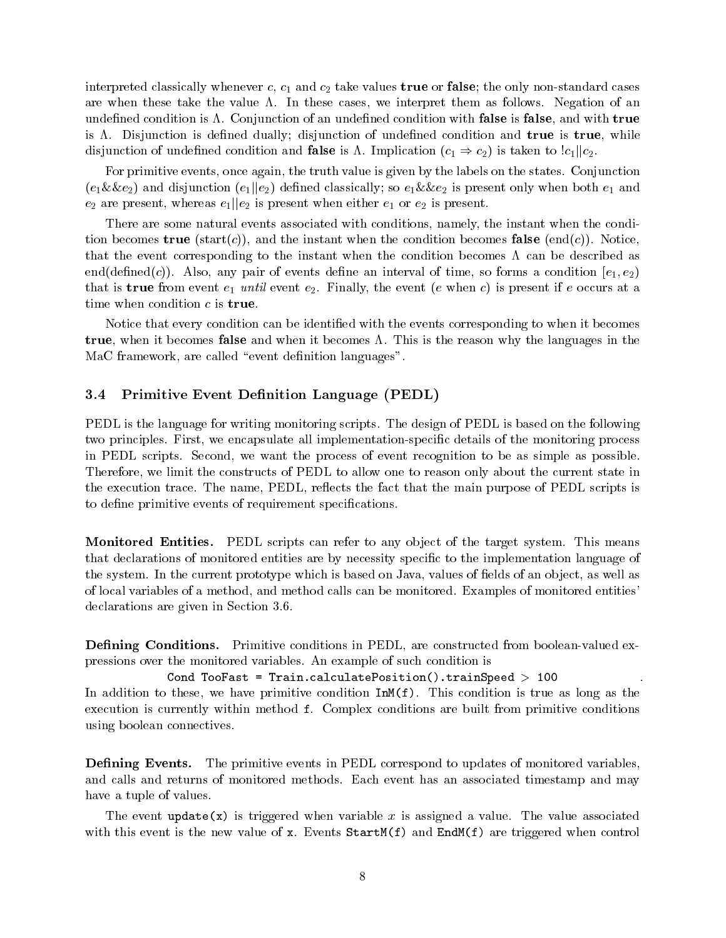interpreted classically whenever c,  $c_1$  and  $c_2$  take values **true** or **false**; the only non-standard cases are when these take the value  $\Lambda$ . In these cases, we interpret them as follows. Negation of an undefined condition is  $\Lambda$ . Conjunction of an undefined condition with **false** is **false**, and with **true** is  $\Lambda$ . Disjunction is defined dually; disjunction of undefined condition and true is true, while disjunction of undefined condition and **false** is  $\Lambda$ . Implication  $(c_1 \Rightarrow c_2)$  is taken to  $|c_1||c_2$ .

For primitive events, once again, the truth value is given by the labels on the states. Conjunction  $(e_1 \& \& e_2)$  and disjunction  $(e_1 || e_2)$  defined classically; so  $e_1 \& \& e_2$  is present only when both  $e_1$  and  $e_2$  are present, whereas  $e_1||e_2$  is present when either  $e_1$  or  $e_2$  is present.

There are some natural events associated with conditions, namely, the instant when the condition becomes **true** (start(c)), and the instant when the condition becomes **false** (end(c)). Notice, that the event corresponding to the instant when the condition becomes  $\Lambda$  can be described as end(defined(c)). Also, any pair of events define an interval of time, so forms a condition  $[e_1, e_2]$ that is **true** from event  $e_1$  until event  $e_2$ . Finally, the event (e when c) is present if e occurs at a time when condition  $c$  is true.

Notice that every condition can be identied with the events corresponding to when it becomes true, when it becomes false and when it becomes  $\Lambda$ . This is the reason why the languages in the MaC framework, are called "event definition languages".

#### 3.4Primitive Event Definition Language (PEDL)

PEDL is the language for writing monitoring scripts. The design of PEDL is based on the following two principles. First, we encapsulate all implementation-specic details of the monitoring process in PEDL scripts. Second, we want the process of event recognition to be as simple as possible. Therefore, we limit the constructs of PEDL to allow one to reason only about the current state in the execution trace. The name, PEDL, reflects the fact that the main purpose of PEDL scripts is to define primitive events of requirement specifications.

Monitored Entities. PEDL scripts can refer to any object of the target system. This means that declarations of monitored entities are by necessity specific to the implementation language of the system. In the current prototype which is based on Java, values of fields of an object, as well as of local variables of a method, and method calls can be monitored. Examples of monitored entities' declarations are given in Section 3.6.

**Defining Conditions.** Primitive conditions in PEDL, are constructed from boolean-valued expressions over the monitored variables. An example of such condition is

## Cond TooFast = Train.calculatePosition().trainSpeed  $> 100$

In addition to these, we have primitive condition  $\text{ImM}(f)$ . This condition is true as long as the execution is currently within method f. Complex conditions are built from primitive conditions using boolean connectives.

**Defining Events.** The primitive events in PEDL correspond to updates of monitored variables, and calls and returns of monitored methods. Each event has an associated timestamp and may have a tuple of values.

The event update(x) is triggered when variable x is assigned a value. The value associated with this event is the new value of  $x$ . Events  $StartM(f)$  and  $EndM(f)$  are triggered when control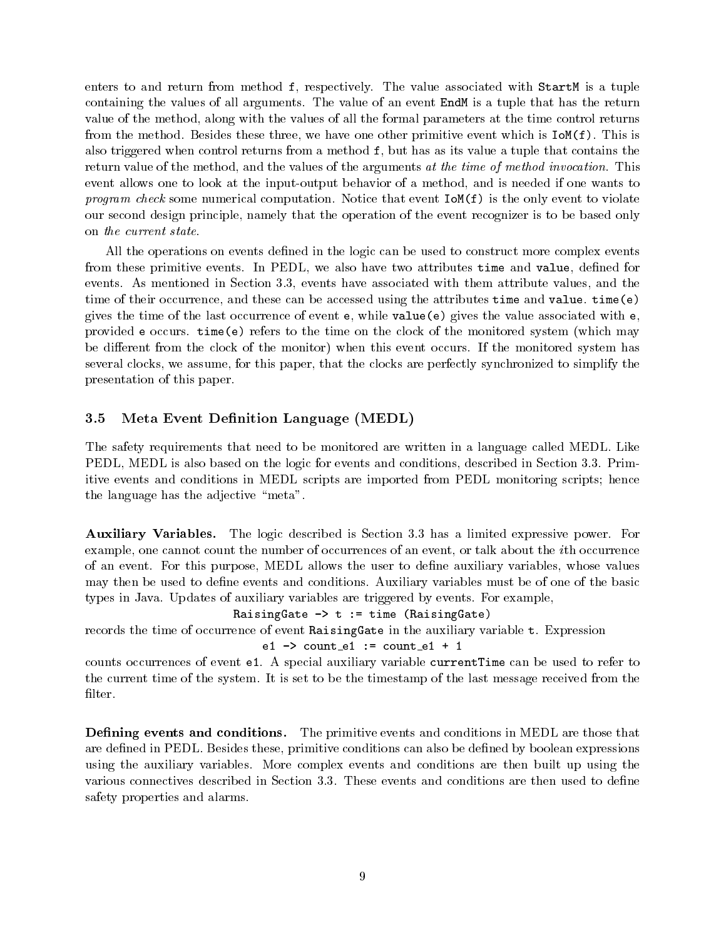enters to and return from method f, respectively. The value associated with StartM is a tuple containing the values of all arguments. The value of an event EndM is a tuple that has the return value of the method, along with the values of all the formal parameters at the time control returns from the method. Besides these three, we have one other primitive event which is IoM(f). This is also triggered when control returns from a method f, but has as its value a tuple that contains the return value of the method, and the values of the arguments at the time of method invocation. This event allows one to look at the input-output behavior of a method, and is needed if one wants to *program check* some numerical computation. Notice that event  $I\circ M(f)$  is the only event to violate our second design principle, namely that the operation of the event recognizer is to be based only

All the operations on events defined in the logic can be used to construct more complex events from these primitive events. In PEDL, we also have two attributes time and value, defined for events. As mentioned in Section 3.3, events have associated with them attribute values, and the time of their occurrence, and these can be accessed using the attributes time and value. time(e) gives the time of the last occurrence of event  $e$ , while value  $(e)$  gives the value associated with  $e$ , provided e occurs. time(e) refers to the time on the clock of the monitored system (which may be different from the clock of the monitor) when this event occurs. If the monitored system has several clocks, we assume, for this paper, that the clocks are perfectly synchronized to simplify the presentation of this paper.

#### 3.5Meta Event Definition Language (MEDL)

The safety requirements that need to be monitored are written in a language called MEDL. Like PEDL, MEDL is also based on the logic for events and conditions, described in Section 3.3. Primitive events and conditions in MEDL scripts are imported from PEDL monitoring scripts; hence the language has the adjective "meta".

Auxiliary Variables. The logic described is Section 3.3 has a limited expressive power. For example, one cannot count the number of occurrences of an event, or talk about the ith occurrence of an event. For this purpose, MEDL allows the user to define auxiliary variables, whose values may then be used to define events and conditions. Auxiliary variables must be of one of the basic types in Java. Updates of auxiliary variables are triggered by events. For example,

RaisingGate  $\rightarrow$  t := time (RaisingGate)

records the time of occurrence of event RaisingGate in the auxiliary variable t. Expression

```
e1 \rightarrow count e1 := count e1 + 1
```
counts occurrences of event e1. A special auxiliary variable currentTime can be used to refer to the current time of the system. It is set to be the timestamp of the last message received from the filter.

**Defining events and conditions.** The primitive events and conditions in MEDL are those that are defined in PEDL. Besides these, primitive conditions can also be defined by boolean expressions using the auxiliary variables. More complex events and conditions are then built up using the various connectives described in Section 3.3. These events and conditions are then used to dene safety properties and alarms.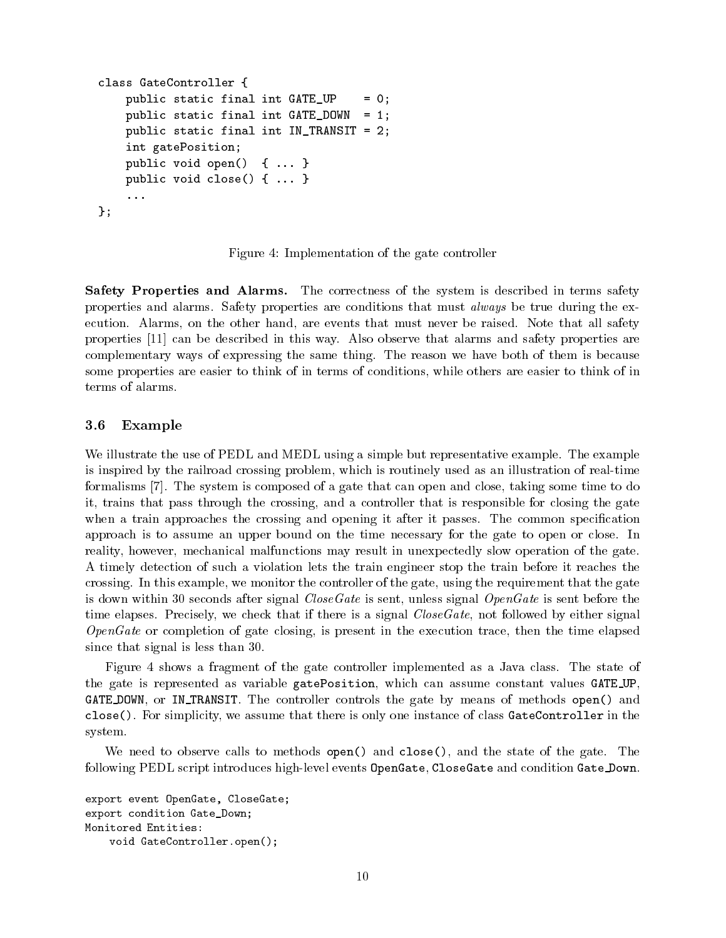```
class GateController {
    public static final int GATE_UPP = 0;
    public static final int GATE_DOWN = 1;
    public static final int IN_TRANSIT = 2;
    int gatePosition;
    public void open() { ... }
    public void close() { ... }
};
```
Figure 4: Implementation of the gate controller

Safety Properties and Alarms. The correctness of the system is described in terms safety properties and alarms. Safety properties are conditions that must always be true during the execution. Alarms, on the other hand, are events that must never be raised. Note that all safety properties [11] can be described in this way. Also observe that alarms and safety properties are complementary ways of expressing the same thing. The reason we have both of them is because some properties are easier to think of in terms of conditions, while others are easier to think of in terms of alarms.

#### 3.6Example

We illustrate the use of PEDL and MEDL using a simple but representative example. The example is inspired by the railroad crossing problem, which is routinely used as an illustration of real-time formalisms [7]. The system is composed of a gate that can open and close, taking some time to do it, trains that pass through the crossing, and a controller that is responsible for closing the gate when a train approaches the crossing and opening it after it passes. The common specification approach is to assume an upper bound on the time necessary for the gate to open or close. In reality, however, mechanical malfunctions may result in unexpectedly slow operation of the gate. A timely detection of such a violation lets the train engineer stop the train before it reaches the crossing. In this example, we monitor the controller of the gate, using the requirement that the gate is down within 30 seconds after signal *CloseGate* is sent, unless signal *OpenGate* is sent before the time elapses. Precisely, we check that if there is a signal *CloseGate*, not followed by either signal OpenGate or completion of gate closing, is present in the execution trace, then the time elapsed since that signal is less than 30.

Figure 4 shows a fragment of the gate controller implemented as a Java class. The state of the gate is represented as variable gatePosition, which can assume constant values GATE UP, GATE DOWN, or IN TRANSIT. The controller controls the gate by means of methods open() and close(). For simplicity, we assume that there is only one instance of class GateController in the system.

We need to observe calls to methods open() and close(), and the state of the gate. The following PEDL script introduces high-level events OpenGate, CloseGate and condition Gate Down.

```
export event OpenGate, CloseGate;
export condition Gate_Down;
Monitored Entities:
   void GateController.open();
```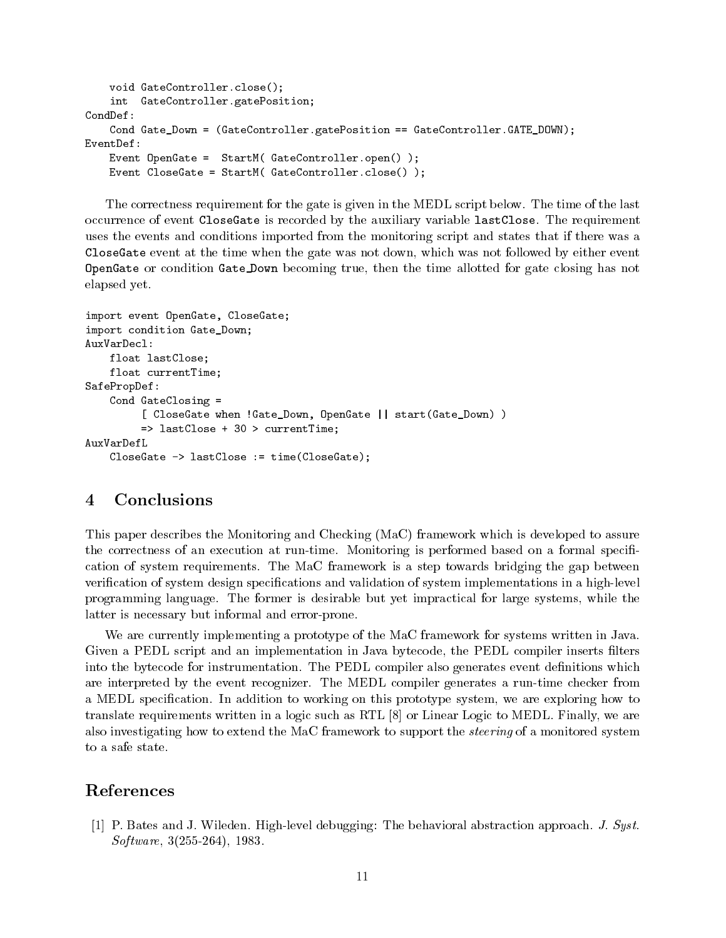```
void GateController.close();
   int GateController.gatePosition;
CondDef:
   Cond Gate_Down = (GateController.gatePosition == GateController.GATE_DOWN);
EventDef:
   Event OpenGate = StartM( GateController.open() );
   Event CloseGate = StartM( GateController.close() );
```
The correctness requirement for the gate is given in the MEDL script below. The time of the last occurrence of event CloseGate is recorded by the auxiliary variable lastClose. The requirement uses the events and conditions imported from the monitoring script and states that if there was a CloseGate event at the time when the gate was not down, which was not followed by either event OpenGate or condition Gate Down becoming true, then the time allotted for gate closing has not elapsed yet.

```
import event OpenGate, CloseGate;
import condition Gate_Down;
AuxVarDecl:
   float lastClose;
   float currentTime;
SafePropDef:
   Cond GateClosing =
         [ CloseGate when !Gate_Down, OpenGate || start(Gate_Down) )
         => lastClose + 30 > currentTime;
AuxVarDefL
   CloseGate -> lastClose := time(CloseGate);
```
#### Conclusions  $\boldsymbol{\mathcal{A}}$

This paper describes the Monitoring and Checking (MaC) framework which is developed to assure the correctness of an execution at run-time. Monitoring is performed based on a formal specification of system requirements. The MaC framework is a step towards bridging the gap between verification of system design specifications and validation of system implementations in a high-level programming language. The former is desirable but yet impractical for large systems, while the latter is necessary but informal and error-prone.

We are currently implementing a prototype of the MaC framework for systems written in Java. Given a PEDL script and an implementation in Java bytecode, the PEDL compiler inserts filters into the bytecode for instrumentation. The PEDL compiler also generates event definitions which are interpreted by the event recognizer. The MEDL compiler generates a run-time checker from a MEDL specification. In addition to working on this prototype system, we are exploring how to translate requirements written in a logic such as RTL [8] or Linear Logic to MEDL. Finally, we are also investigating how to extend the MaC framework to support the steering of a monitored system to a safe state.

# References

[1] P. Bates and J. Wileden. High-level debugging: The behavioral abstraction approach. J. Syst. Software, 3(255-264), 1983.